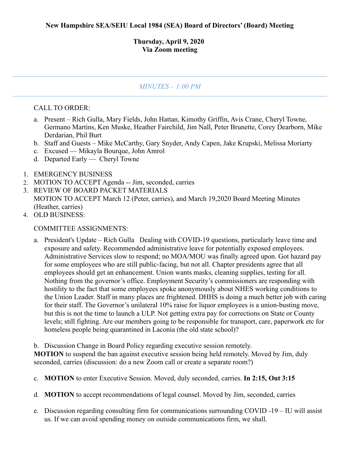## **Thursday, April 9, 2020 Via Zoom meeting**

## *MINUTES – 1:00 PM*

## CALL TO ORDER:

- a. Present Rich Gulla, Mary Fields, John Hattan, Kimothy Griffin, Avis Crane, Cheryl Towne, Germano Martins, Ken Muske, Heather Fairchild, Jim Nall, Peter Brunette, Corey Dearborn, Mike Derdarian, Phil Burt
- b. Staff and Guests Mike McCarthy, Gary Snyder, Andy Capen, Jake Krupski, Melissa Moriarty
- c. Excused Mikayla Bourque, John Amrol
- d. Departed Early Cheryl Towne
- 1. EMERGENCY BUSINESS
- 2. MOTION TO ACCEPT Agenda -- Jim, seconded, carries
- 3. REVIEW OF BOARD PACKET MATERIALS MOTION TO ACCEPT March 12 (Peter, carries), and March 19,2020 Board Meeting Minutes (Heather, carries)
- 4. OLD BUSINESS:

## COMMITTEE ASSIGNMENTS:

a. President's Update – Rich Gulla Dealing with COVID-19 questions, particularly leave time and exposure and safety. Recommended administrative leave for potentially exposed employees. Administrative Services slow to respond; no MOA/MOU was finally agreed upon. Got hazard pay for some employees who are still public-facing, but not all. Chapter presidents agree that all employees should get an enhancement. Union wants masks, cleaning supplies, testing for all. Nothing from the governor's office. Employment Security's commissioners are responding with hostility to the fact that some employees spoke anonymously about NHES working conditions to the Union Leader. Staff in many places are frightened. DHHS is doing a much better job with caring for their staff. The Governor's unilateral 10% raise for liquor employees is a union-busting move, but this is not the time to launch a ULP. Not getting extra pay for corrections on State or County levels; still fighting. Are our members going to be responsible for transport, care, paperwork etc for homeless people being quarantined in Laconia (the old state school)?

b. Discussion Change in Board Policy regarding executive session remotely.

**MOTION** to suspend the ban against executive session being held remotely. Moved by Jim, duly seconded, carries (discussion: do a new Zoom call or create a separate room?)

- c. **MOTION** to enter Executive Session. Moved, duly seconded, carries. **In 2:15, Out 3:15**
- d. **MOTION** to accept recommendations of legal counsel. Moved by Jim, seconded, carries
- e. Discussion regarding consulting firm for communications surrounding COVID -19 IU will assist us. If we can avoid spending money on outside communications firm, we shall.